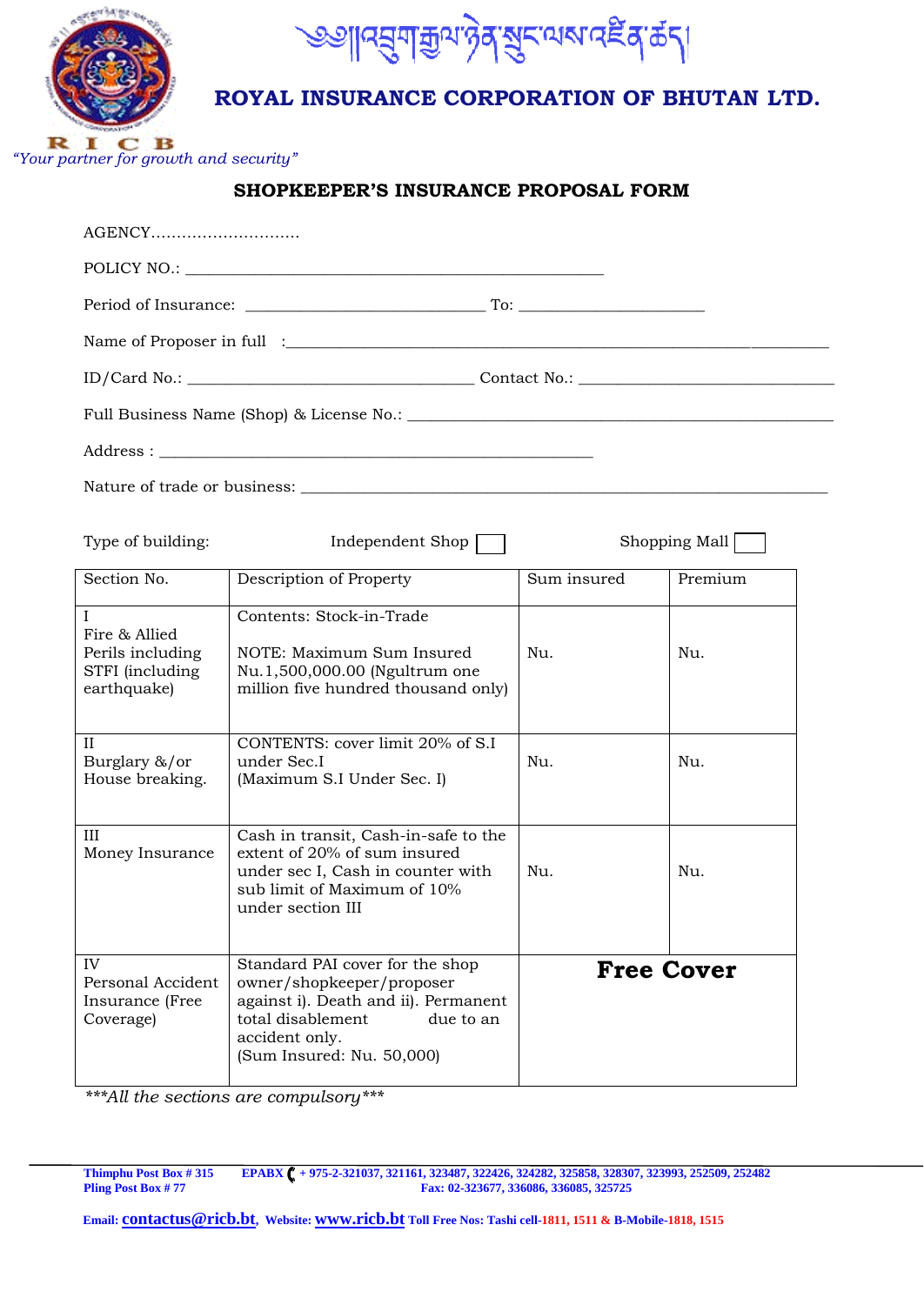



## **ROYAL INSURANCE CORPORATION OF BHUTAN LTD.**

*"Your partner for growth and security"* 

### **SHOPKEEPER'S INSURANCE PROPOSAL FORM**

| AGENCY                                                                              |                                                                                                                                                                                       |                   |         |  |  |  |  |  |  |  |  |
|-------------------------------------------------------------------------------------|---------------------------------------------------------------------------------------------------------------------------------------------------------------------------------------|-------------------|---------|--|--|--|--|--|--|--|--|
|                                                                                     |                                                                                                                                                                                       |                   |         |  |  |  |  |  |  |  |  |
|                                                                                     |                                                                                                                                                                                       |                   |         |  |  |  |  |  |  |  |  |
|                                                                                     |                                                                                                                                                                                       |                   |         |  |  |  |  |  |  |  |  |
|                                                                                     |                                                                                                                                                                                       |                   |         |  |  |  |  |  |  |  |  |
|                                                                                     |                                                                                                                                                                                       |                   |         |  |  |  |  |  |  |  |  |
|                                                                                     |                                                                                                                                                                                       |                   |         |  |  |  |  |  |  |  |  |
|                                                                                     |                                                                                                                                                                                       |                   |         |  |  |  |  |  |  |  |  |
| Type of building:<br>Independent Shop<br>Shopping Mall                              |                                                                                                                                                                                       |                   |         |  |  |  |  |  |  |  |  |
| Section No.                                                                         | Description of Property                                                                                                                                                               | Sum insured       | Premium |  |  |  |  |  |  |  |  |
| $\mathbf{I}$<br>Fire & Allied<br>Perils including<br>STFI (including<br>earthquake) | Contents: Stock-in-Trade<br>NOTE: Maximum Sum Insured<br>Nu.1,500,000.00 (Ngultrum one<br>million five hundred thousand only)                                                         | Nu.               | Nu.     |  |  |  |  |  |  |  |  |
| П<br>Burglary &/or<br>House breaking.                                               | CONTENTS: cover limit 20% of S.I<br>under Sec.I<br>(Maximum S.I Under Sec. I)                                                                                                         | Nu.               | Nu.     |  |  |  |  |  |  |  |  |
| III<br>Money Insurance                                                              | Cash in transit, Cash-in-safe to the<br>extent of 20% of sum insured<br>under sec I, Cash in counter with<br>sub limit of Maximum of 10%<br>under section III                         |                   | Nu.     |  |  |  |  |  |  |  |  |
| IV<br>Personal Accident<br>Insurance (Free<br>Coverage)                             | Standard PAI cover for the shop<br>owner/shopkeeper/proposer<br>against i). Death and ii). Permanent<br>total disablement<br>due to an<br>accident only.<br>(Sum Insured: Nu. 50,000) | <b>Free Cover</b> |         |  |  |  |  |  |  |  |  |

*\*\*\*All the sections are compulsory\*\*\**

**Thimphu Post Box # 315 EPABX + 975-2-321037, 321161, 323487, 322426, 324282, 325858, 328307, 323993, 252509, 252482 Pling Post Box # 77 Fax: 02-323677, 336086, 336085, 325725**